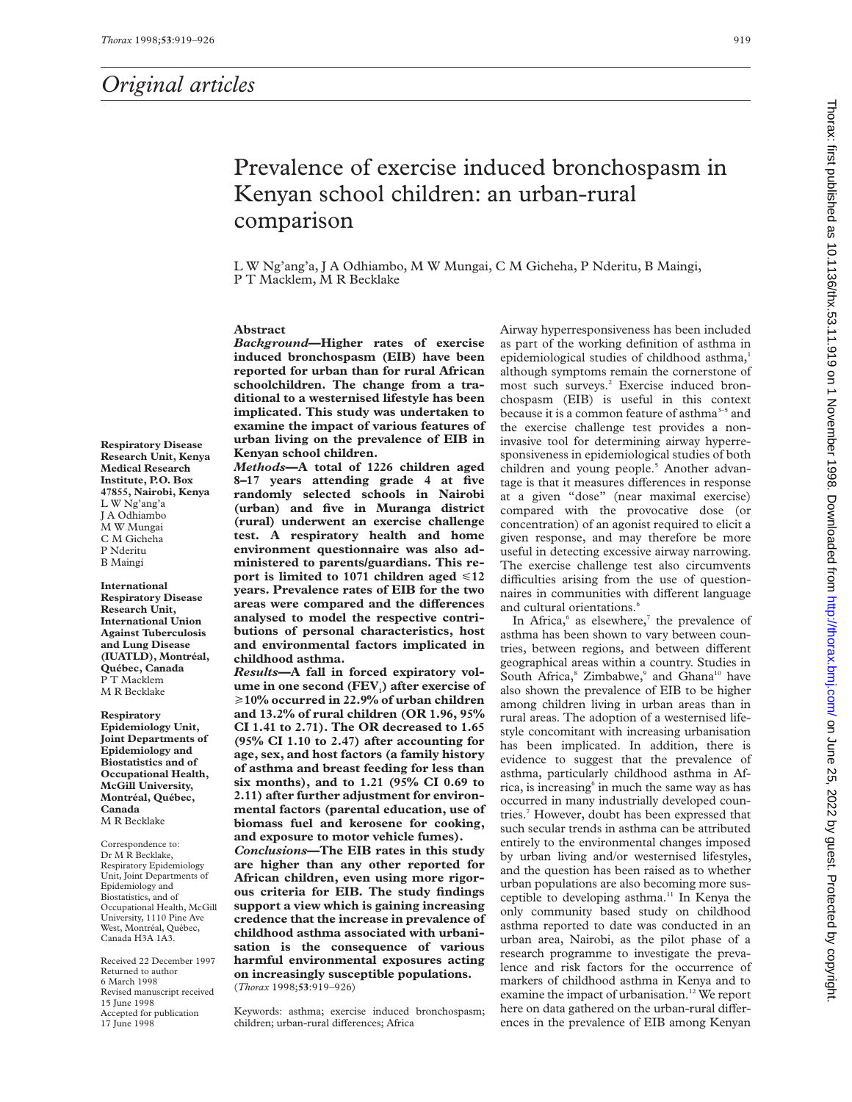# Prevalence of exercise induced bronchospasm in Kenyan school children: an urban-rural comparison

L W Ng'ang'a, J A Odhiambo, M W Mungai, C M Gicheha, P Nderitu, B Maingi, P T Macklem, M R Becklake

## **Abstract**

*Background***—Higher rates of exercise induced bronchospasm (EIB) have been reported for urban than for rural African schoolchildren. The change from a traditional to a westernised lifestyle has been implicated. This study was undertaken to examine the impact of various features of urban living on the prevalence of EIB in Kenyan school children.**

*Methods***—A total of 1226 children aged 8–17 years attending grade 4 at five randomly selected schools in Nairobi (urban) and five in Muranga district (rural) underwent an exercise challenge test. A respiratory health and home environment questionnaire was also administered to parents/guardians. This report is limited to 1071 children aged** <**12 years. Prevalence rates of EIB for the two** areas were compared and the differences **analysed to model the respective contributions of personal characteristics, host and environmental factors implicated in childhood asthma.**

*Results***—A fall in forced expiratory vol**ume in one second (FEV<sub>1</sub>) after exercise of >**10% occurred in 22.9% of urban children and 13.2% of rural children (OR 1.96, 95% CI 1.41 to 2.71). The OR decreased to 1.65 (95% CI 1.10 to 2.47) after accounting for age, sex, and host factors (a family history of asthma and breast feeding for less than six months), and to 1.21 (95% CI 0.69 to 2.11) after further adjustment for environmental factors (parental education, use of biomass fuel and kerosene for cooking, and exposure to motor vehicle fumes).**

*Conclusions***—The EIB rates in this study are higher than any other reported for African children, even using more rigorous criteria for EIB. The study findings support a view which is gaining increasing credence that the increase in prevalence of childhood asthma associated with urbanisation is the consequence of various harmful environmental exposures acting on increasingly susceptible populations.** (*Thorax* 1998;**53**:919–926)

Keywords: asthma; exercise induced bronchospasm; children; urban-rural differences; Africa

Airway hyperresponsiveness has been included as part of the working definition of asthma in epidemiological studies of childhood asthma,<sup>1</sup> although symptoms remain the cornerstone of most such surveys.<sup>2</sup> Exercise induced bronchospasm (EIB) is useful in this context because it is a common feature of asthma<sup>3-5</sup> and the exercise challenge test provides a noninvasive tool for determining airway hyperresponsiveness in epidemiological studies of both children and young people.<sup>5</sup> Another advantage is that it measures differences in response at a given "dose" (near maximal exercise) compared with the provocative dose (or concentration) of an agonist required to elicit a given response, and may therefore be more useful in detecting excessive airway narrowing. The exercise challenge test also circumvents difficulties arising from the use of questionnaires in communities with different language and cultural orientations.<sup>6</sup>

In Africa, $6$  as elsewhere, $7$  the prevalence of asthma has been shown to vary between countries, between regions, and between different geographical areas within a country. Studies in South Africa,<sup>8</sup> Zimbabwe,<sup>9</sup> and Ghana<sup>10</sup> have also shown the prevalence of EIB to be higher among children living in urban areas than in rural areas. The adoption of a westernised lifestyle concomitant with increasing urbanisation has been implicated. In addition, there is evidence to suggest that the prevalence of asthma, particularly childhood asthma in Africa, is increasing<sup>6</sup> in much the same way as has occurred in many industrially developed countries.7 However, doubt has been expressed that such secular trends in asthma can be attributed entirely to the environmental changes imposed by urban living and/or westernised lifestyles, and the question has been raised as to whether urban populations are also becoming more susceptible to developing asthma.<sup>11</sup> In Kenya the only community based study on childhood asthma reported to date was conducted in an urban area, Nairobi, as the pilot phase of a research programme to investigate the prevalence and risk factors for the occurrence of markers of childhood asthma in Kenya and to examine the impact of urbanisation.<sup>12</sup> We report here on data gathered on the urban-rural differences in the prevalence of EIB among Kenyan

**Respiratory Disease Research Unit, Kenya Medical Research Institute, P.O. Box 47855, Nairobi, Kenya** L W Ng'ang'a J A Odhiambo M W Mungai C M Gicheha P Nderitu B Maingi

**International Respiratory Disease Research Unit, International Union Against Tuberculosis and Lung Disease (IUATLD), Montréal, Québec, Canada** P T Macklem M R Becklake

**Respiratory Epidemiology Unit, Joint Departments of Epidemiology and Biostatistics and of Occupational Health, McGill University, Montréal, Québec, Canada** M R Becklake

Correspondence to: Dr M R Becklake, Respiratory Epidemiology Unit, Joint Departments of Epidemiology and Biostatistics, and of Occupational Health, McGill University, 1110 Pine Ave West, Montréal, Québec, Canada H3A 1A3.

Received 22 December 1997 Returned to author 6 March 1998 Revised manuscript received 15 June 1998 Accepted for publication 17 June 1998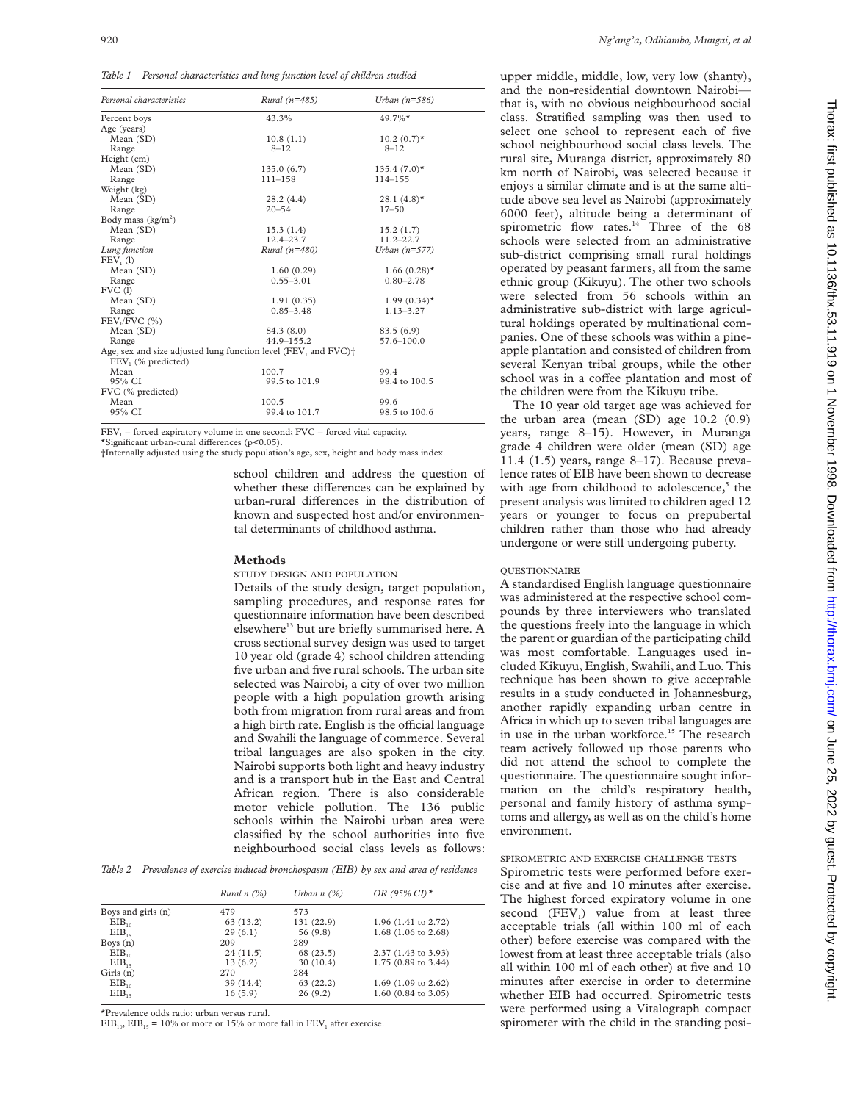*Table 1 Personal characteristics and lung function level of children studied*

| Personal characteristics | $Rural (n=485)$                                                            | Urban $(n=586)$ |
|--------------------------|----------------------------------------------------------------------------|-----------------|
| Percent boys             | 43.3%                                                                      | $49.7\%*$       |
| Age (years)              |                                                                            |                 |
| Mean (SD)                | 10.8(1.1)                                                                  | $10.2(0.7)$ *   |
| Range                    | $8 - 12$                                                                   | $8 - 12$        |
| Height (cm)              |                                                                            |                 |
| Mean (SD)                | 135.0(6.7)                                                                 | $135.4(7.0)$ *  |
| Range                    | $111 - 158$                                                                | $114 - 155$     |
| Weight (kg)              |                                                                            |                 |
| Mean (SD)                | 28.2(4.4)                                                                  | $28.1 (4.8)$ *  |
| Range                    | $20 - 54$                                                                  | $17 - 50$       |
| Body mass $(kg/m2)$      |                                                                            |                 |
| Mean (SD)                | 15.3(1.4)                                                                  | 15.2(1.7)       |
| Range                    | $12.4 - 23.7$                                                              | $11.2 - 22.7$   |
| Lung function            | $Rural (n=480)$                                                            | Urban $(n=577)$ |
| FEV, (1)                 |                                                                            |                 |
| Mean (SD)                | 1.60(0.29)                                                                 | $1.66(0.28)$ *  |
| Range                    | $0.55 - 3.01$                                                              | $0.80 - 2.78$   |
| FVC(1)                   |                                                                            |                 |
| Mean (SD)                | 1.91(0.35)                                                                 | $1.99(0.34)$ *  |
| Range                    | $0.85 - 3.48$                                                              | $1.13 - 3.27$   |
| $FEV, /FVC$ (%)          |                                                                            |                 |
| Mean(SD)                 | 84.3 (8.0)                                                                 | 83.5(6.9)       |
| Range                    | $44.9 - 155.2$                                                             | $57.6 - 100.0$  |
|                          | Age, sex and size adjusted lung function level (FEV, and FVC) <sup>+</sup> |                 |
| FEV, (% predicted)       |                                                                            |                 |
| Mean                     | 100.7                                                                      | 99.4            |
| 95% CI                   | 99.5 to 101.9                                                              | 98.4 to 100.5   |
| FVC (% predicted)        |                                                                            |                 |
| Mean                     | 100.5                                                                      | 99.6            |
| 95% CI                   | 99.4 to 101.7                                                              | 98.5 to 100.6   |

 $FEV<sub>1</sub>$  = forced expiratory volume in one second;  $FVC$  = forced vital capacity.

\*Significant urban-rural differences (p<0.05).

†Internally adjusted using the study population's age, sex, height and body mass index.

school children and address the question of whether these differences can be explained by urban-rural differences in the distribution of known and suspected host and/or environmental determinants of childhood asthma.

#### **Methods**

## STUDY DESIGN AND POPULATION

Details of the study design, target population, sampling procedures, and response rates for questionnaire information have been described elsewhere<sup>13</sup> but are briefly summarised here. A cross sectional survey design was used to target 10 year old (grade 4) school children attending five urban and five rural schools. The urban site selected was Nairobi, a city of over two million people with a high population growth arising both from migration from rural areas and from a high birth rate. English is the official language and Swahili the language of commerce. Several tribal languages are also spoken in the city. Nairobi supports both light and heavy industry and is a transport hub in the East and Central African region. There is also considerable motor vehicle pollution. The 136 public schools within the Nairobi urban area were classified by the school authorities into five neighbourhood social class levels as follows:

*Table 2 Prevalence of exercise induced bronchospasm (EIB) by sex and area of residence*

|                    | Rural $n(\%)$ | Urban $n(\%)$ | OR (95% CI) $*$                |
|--------------------|---------------|---------------|--------------------------------|
| Boys and girls (n) | 479           | 573           |                                |
| $EIB_{10}$         | 63(13.2)      | 131 (22.9)    | 1.96 (1.41 to 2.72)            |
| $EIB_{15}$         | 29(6.1)       | 56 (9.8)      | 1.68 (1.06 to 2.68)            |
| Boys $(n)$         | 209           | 289           |                                |
| $EIB_{10}$         | 24(11.5)      | 68(23.5)      | 2.37 (1.43 to 3.93)            |
| $EIB_{15}$         | 13(6.2)       | 30(10.4)      | 1.75 (0.89 to 3.44)            |
| Girls $(n)$        | 270           | 284           |                                |
| $EIB_{10}$         | 39 (14.4)     | 63(22.2)      | 1.69 $(1.09 \text{ to } 2.62)$ |
| $EIB_{15}$         | 16(5.9)       | 26(9.2)       | $1.60$ (0.84 to 3.05)          |
|                    |               |               |                                |

\*Prevalence odds ratio: urban versus rural.

 $EIB<sub>10</sub>, EIB<sub>15</sub> = 10%$  or more or 15% or more fall in  $FEV<sub>1</sub>$  after exercise.

upper middle, middle, low, very low (shanty), and the non-residential downtown Nairobi that is, with no obvious neighbourhood social class. Stratified sampling was then used to select one school to represent each of five school neighbourhood social class levels. The rural site, Muranga district, approximately 80 km north of Nairobi, was selected because it enjoys a similar climate and is at the same altitude above sea level as Nairobi (approximately 6000 feet), altitude being a determinant of spirometric flow rates.<sup>14</sup> Three of the 68 schools were selected from an administrative sub-district comprising small rural holdings operated by peasant farmers, all from the same ethnic group (Kikuyu). The other two schools were selected from 56 schools within an administrative sub-district with large agricultural holdings operated by multinational companies. One of these schools was within a pineapple plantation and consisted of children from several Kenyan tribal groups, while the other school was in a coffee plantation and most of the children were from the Kikuyu tribe.

The 10 year old target age was achieved for the urban area (mean (SD) age 10.2 (0.9) years, range 8–15). However, in Muranga grade 4 children were older (mean (SD) age 11.4 (1.5) years, range 8–17). Because prevalence rates of EIB have been shown to decrease with age from childhood to adolescence,<sup>5</sup> the present analysis was limited to children aged 12 years or younger to focus on prepubertal children rather than those who had already undergone or were still undergoing puberty.

#### **OUESTIONNAIRE**

A standardised English language questionnaire was administered at the respective school compounds by three interviewers who translated the questions freely into the language in which the parent or guardian of the participating child was most comfortable. Languages used included Kikuyu, English, Swahili, and Luo. This technique has been shown to give acceptable results in a study conducted in Johannesburg, another rapidly expanding urban centre in Africa in which up to seven tribal languages are in use in the urban workforce.<sup>15</sup> The research team actively followed up those parents who did not attend the school to complete the questionnaire. The questionnaire sought information on the child's respiratory health, personal and family history of asthma symptoms and allergy, as well as on the child's home environment.

# SPIROMETRIC AND EXERCISE CHALLENGE TESTS

Spirometric tests were performed before exercise and at five and 10 minutes after exercise. The highest forced expiratory volume in one second  $(FEV_1)$  value from at least three acceptable trials (all within 100 ml of each other) before exercise was compared with the lowest from at least three acceptable trials (also all within 100 ml of each other) at five and 10 minutes after exercise in order to determine whether EIB had occurred. Spirometric tests were performed using a Vitalograph compact spirometer with the child in the standing posi-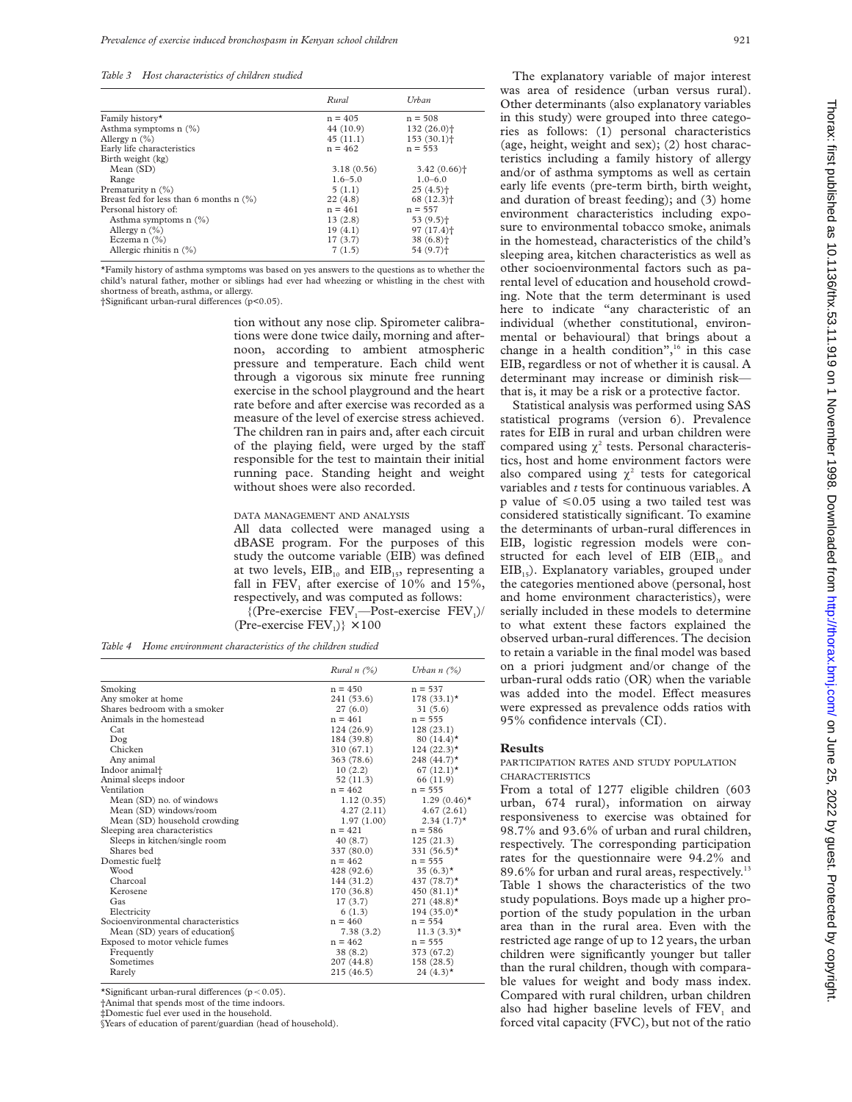*Table 3 Host characteristics of children studied*

|                                            | Rural       | Urban                     |
|--------------------------------------------|-------------|---------------------------|
| Family history*                            | $n = 405$   | $n = 508$                 |
| Asthma symptoms $n$ (%)                    | 44 (10.9)   | $132(26.0)$ <sup>+</sup>  |
| Allergy $n$ $(\%)$                         | 45(11.1)    | $153(30.1)$ <sup>+</sup>  |
| Early life characteristics                 | $n = 462$   | $n = 553$                 |
| Birth weight (kg)                          |             |                           |
| Mean(SD)                                   | 3.18(0.56)  | $3.42(0.66)$ <sup>+</sup> |
| Range                                      | $1.6 - 5.0$ | $1.0 - 6.0$               |
| Prematurity n (%)                          | 5(1.1)      | $25(4.5)$ <sup>+</sup>    |
| Breast fed for less than 6 months n $(\%)$ | 22(4.8)     | $68(12.3)$ <sup>+</sup>   |
| Personal history of:                       | $n = 461$   | $n = 557$                 |
| Asthma symptoms $n$ (%)                    | 13(2.8)     | $53(9.5)$ <sup>+</sup>    |
| Allergy $n$ $(\%)$                         | 19(4.1)     | $97(17.4)$ <sup>+</sup>   |
| Eczema n $(\%)$                            | 17(3.7)     | $38(6.8)$ <sup>+</sup>    |
| Allergic rhinitis $n$ $(\%)$               | 7(1.5)      | $54(9.7)$ <sup>+</sup>    |

\*Family history of asthma symptoms was based on yes answers to the questions as to whether the child's natural father, mother or siblings had ever had wheezing or whistling in the chest with shortness of breath, asthma, or allergy.

†Significant urban-rural diVerences (p<0.05).

tion without any nose clip. Spirometer calibrations were done twice daily, morning and afternoon, according to ambient atmospheric pressure and temperature. Each child went through a vigorous six minute free running exercise in the school playground and the heart rate before and after exercise was recorded as a measure of the level of exercise stress achieved. The children ran in pairs and, after each circuit of the playing field, were urged by the staff responsible for the test to maintain their initial running pace. Standing height and weight without shoes were also recorded.

## DATA MANAGEMENT AND ANALYSIS

All data collected were managed using a dBASE program. For the purposes of this study the outcome variable (EIB) was defined at two levels,  $EIB_{10}$  and  $EIB_{15}$ , representing a fall in FEV, after exercise of  $10\%$  and  $15\%$ , respectively, and was computed as follows:

 $({\rm Pre-exercise \ FEV}_{1}$ —Post-exercise  $\rm FEV_{1}$ )/ (Pre-exercise  $\text{FEV}_1$ )}  $\times$  100

*Table 4 Home environment characteristics of the children studied*

|                                    | Rural $n(\%)$ | Urban $n(\%)$             |
|------------------------------------|---------------|---------------------------|
| Smoking                            | $n = 450$     | $n = 537$                 |
| Any smoker at home                 | 241 (53.6)    | $178(33.1)$ *             |
| Shares bedroom with a smoker       | 27(6.0)       | 31(5.6)                   |
| Animals in the homestead           | $n = 461$     | $n = 555$                 |
| Cat                                | 124(26.9)     | 128(23.1)                 |
| $\log$                             | 184 (39.8)    | 80 $(14.4)$ *             |
| Chicken                            | 310 (67.1)    | $124 (22.3)$ *            |
| Any animal                         | 363 (78.6)    | 248 $(44.7)$ *            |
| Indoor animal <sup>+</sup>         | 10(2.2)       | 67 $(12.1)$ *             |
| Animal sleeps indoor               | 52 (11.3)     | 66 (11.9)                 |
| Ventilation                        | $n = 462$     | $n = 555$                 |
| Mean (SD) no. of windows           | 1.12(0.35)    | $1.29(0.46)$ *            |
| Mean (SD) windows/room             | 4.27(2.11)    | 4.67(2.61)                |
| Mean (SD) household crowding       | 1.97(1.00)    | $2.34(1.7)$ *             |
| Sleeping area characteristics      | $n = 421$     | $n = 586$                 |
| Sleeps in kitchen/single room      | 40(8.7)       | 125(21.3)                 |
| Shares bed                         | 337 (80.0)    | 331 $(56.5)$ *            |
| Domestic fuel#                     | $n = 462$     | $n = 555$                 |
| Wood                               | 428 (92.6)    | 35 $(6.3)$ *              |
| Charcoal                           | 144 (31.2)    | 437 $(78.7)$ *            |
| Kerosene                           | 170 (36.8)    | 450 $(81.1)$ <sup>*</sup> |
| Gas                                | 17(3.7)       | 271 $(48.8)$ *            |
| Electricity                        | 6(1.3)        | $194(35.0)*$              |
| Socioenvironmental characteristics | $n = 460$     | $n = 554$                 |
| Mean (SD) years of education       | 7.38(3.2)     | $11.3(3.3)$ *             |
| Exposed to motor vehicle fumes     | $n = 462$     | $n = 555$                 |
| Frequently                         | 38 (8.2)      | 373 (67.2)                |
| Sometimes                          | 207 (44.8)    | 158 (28.5)                |
| Rarely                             | 215 (46.5)    | 24 $(4.3)$ *              |

\*Significant urban-rural differences ( $p < 0.05$ ).

†Animal that spends most of the time indoors.

‡Domestic fuel ever used in the household.

§Years of education of parent/guardian (head of household).

The explanatory variable of major interest was area of residence (urban versus rural). Other determinants (also explanatory variables in this study) were grouped into three categories as follows: (1) personal characteristics (age, height, weight and sex); (2) host characteristics including a family history of allergy and/or of asthma symptoms as well as certain early life events (pre-term birth, birth weight, and duration of breast feeding); and (3) home environment characteristics including exposure to environmental tobacco smoke, animals in the homestead, characteristics of the child's sleeping area, kitchen characteristics as well as other socioenvironmental factors such as parental level of education and household crowding. Note that the term determinant is used here to indicate "any characteristic of an individual (whether constitutional, environmental or behavioural) that brings about a change in a health condition",<sup>16</sup> in this case EIB, regardless or not of whether it is causal. A determinant may increase or diminish risk that is, it may be a risk or a protective factor.

Statistical analysis was performed using SAS statistical programs (version 6). Prevalence rates for EIB in rural and urban children were compared using  $\chi^2$  tests. Personal characteristics, host and home environment factors were also compared using  $\chi^2$  tests for categorical variables and *t* tests for continuous variables. A p value of  $\leq 0.05$  using a two tailed test was considered statistically significant. To examine the determinants of urban-rural differences in EIB, logistic regression models were constructed for each level of  $EIB$  ( $EIB_{10}$  and EIB<sub>15</sub>). Explanatory variables, grouped under the categories mentioned above (personal, host and home environment characteristics), were serially included in these models to determine to what extent these factors explained the observed urban-rural differences. The decision to retain a variable in the final model was based on a priori judgment and/or change of the urban-rural odds ratio (OR) when the variable was added into the model. Effect measures were expressed as prevalence odds ratios with 95% confidence intervals (CI).

#### **Results**

#### PARTICIPATION RATES AND STUDY POPULATION CHARACTERISTICS

From a total of 1277 eligible children (603 urban, 674 rural), information on airway responsiveness to exercise was obtained for 98.7% and 93.6% of urban and rural children, respectively. The corresponding participation rates for the questionnaire were 94.2% and 89.6% for urban and rural areas, respectively.<sup>13</sup> Table 1 shows the characteristics of the two study populations. Boys made up a higher proportion of the study population in the urban area than in the rural area. Even with the restricted age range of up to 12 years, the urban children were significantly younger but taller than the rural children, though with comparable values for weight and body mass index. Compared with rural children, urban children also had higher baseline levels of FEV<sub>1</sub> and forced vital capacity (FVC), but not of the ratio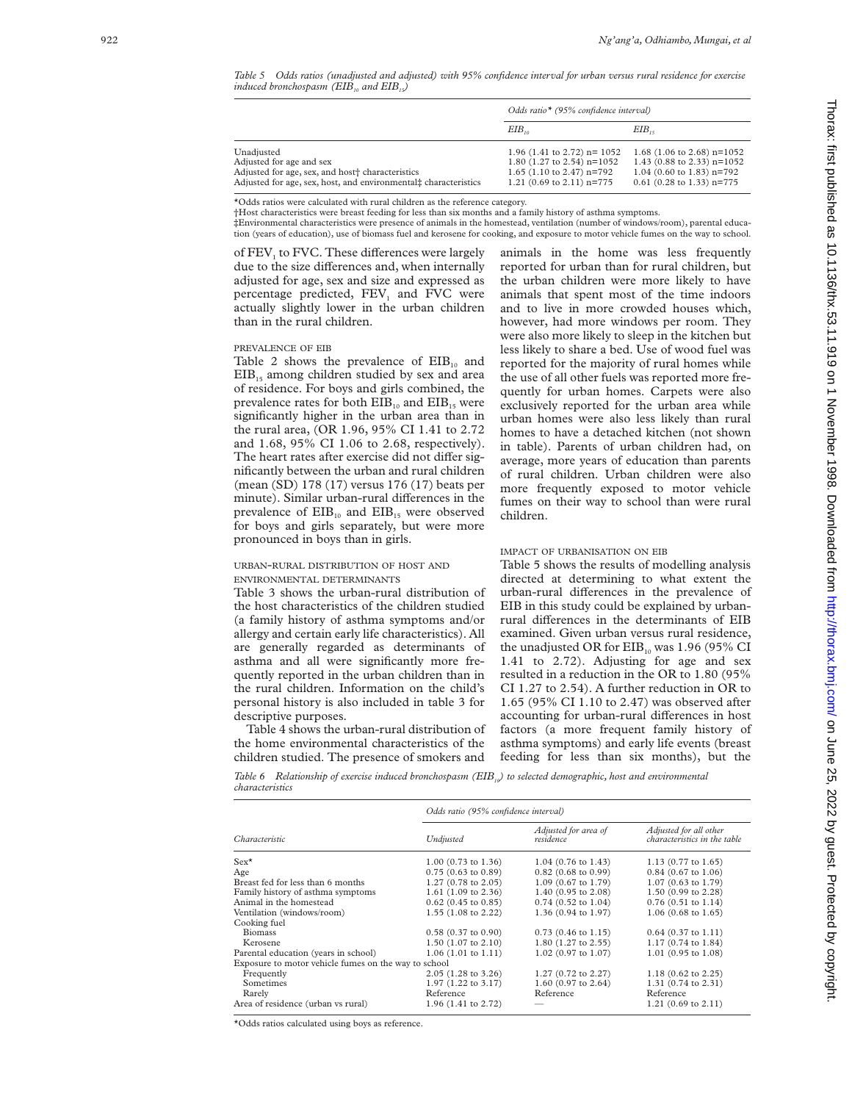*Table 5 Odds ratios (unadjusted and adjusted) with 95% confidence interval for urban versus rural residence for exercise induced bronchospasm (EIB<sub>10</sub> and EIB<sub>15</sub>)* 

|                                                                                                                                                                           | Odds ratio $*(95\%$ confidence interval)                                                                                                      |                                                                                                                                     |  |
|---------------------------------------------------------------------------------------------------------------------------------------------------------------------------|-----------------------------------------------------------------------------------------------------------------------------------------------|-------------------------------------------------------------------------------------------------------------------------------------|--|
|                                                                                                                                                                           | $EIB_{10}$                                                                                                                                    | $EIB_{15}$                                                                                                                          |  |
| Unadiusted<br>Adjusted for age and sex<br>Adjusted for age, sex, and host <sup>+</sup> characteristics<br>Adjusted for age, sex, host, and environmental‡ characteristics | 1.96 $(1.41 \text{ to } 2.72)$ n= 1052<br>1.80 (1.27 to 2.54) $n=1052$<br>1.65 $(1.10 \text{ to } 2.47)$ n=792<br>1.21 (0.69 to 2.11) $n=775$ | 1.68 $(1.06 \text{ to } 2.68)$ n=1052<br>1.43 (0.88 to 2.33) $n=1052$<br>$1.04$ (0.60 to 1.83) n=792<br>$0.61$ (0.28 to 1.33) n=775 |  |

\*Odds ratios were calculated with rural children as the reference category.

†Host characteristics were breast feeding for less than six months and a family history of asthma symptoms.

‡Environmental characteristics were presence of animals in the homestead, ventilation (number of windows/room), parental education (years of education), use of biomass fuel and kerosene for cooking, and exposure to motor vehicle fumes on the way to school.

of FEV<sub>1</sub> to FVC. These differences were largely due to the size differences and, when internally adjusted for age, sex and size and expressed as percentage predicted, FEV <sup>1</sup> and FVC were actually slightly lower in the urban children than in the rural children.

PREVALENCE OF EIB

Table 2 shows the prevalence of  $EIB_{10}$  and  $EIB<sub>15</sub>$  among children studied by sex and area of residence. For boys and girls combined, the prevalence rates for both  $EIB_{10}$  and  $EIB_{15}$  were significantly higher in the urban area than in the rural area, (OR 1.96, 95% CI 1.41 to 2.72 and 1.68, 95% CI 1.06 to 2.68, respectively). The heart rates after exercise did not differ significantly between the urban and rural children (mean (SD) 178 (17) versus 176 (17) beats per minute). Similar urban-rural differences in the prevalence of  $EIB_{10}$  and  $EIB_{15}$  were observed for boys and girls separately, but were more pronounced in boys than in girls.

## URBAN -RURAL DISTRIBUTION OF HOST AND ENVIRONMENTAL DETERMINANTS

Table 3 shows the urban-rural distribution of the host characteristics of the children studied (a family history of asthma symptoms and/or allergy and certain early life characteristics). All are generally regarded as determinants of asthma and all were significantly more frequently reported in the urban children than in the rural children. Information on the child's personal history is also included in table 3 for descriptive purposes.

Table 4 shows the urban-rural distribution of the home environmental characteristics of the children studied. The presence of smokers and animals in the home was less frequently reported for urban than for rural children, but the urban children were more likely to have animals that spent most of the time indoors and to live in more crowded houses which, however, had more windows per room. They were also more likely to sleep in the kitchen but less likely to share a bed. Use of wood fuel was reported for the majority of rural homes while the use of all other fuels was reported more frequently for urban homes. Carpets were also exclusively reported for the urban area while urban homes were also less likely than rural homes to have a detached kitchen (not shown in table). Parents of urban children had, on average, more years of education than parents of rural children. Urban children were also more frequently exposed to motor vehicle fumes on their way to school than were rural children.

## IMPACT OF URBANISATION ON EIB

Table 5 shows the results of modelling analysis directed at determining to what extent the urban-rural differences in the prevalence of EIB in this study could be explained by urbanrural differences in the determinants of EIB examined. Given urban versus rural residence, the unadjusted OR for  $\mathrm{EIB}_{10}$  was 1.96 (95% CI 1.41 to 2.72). Adjusting for age and sex resulted in a reduction in the OR to 1.80 (95% CI 1.27 to 2.54). A further reduction in OR to 1.65 (95% CI 1.10 to 2.47) was observed after accounting for urban-rural differences in host factors (a more frequent family history of asthma symptoms) and early life events (breast feeding for less than six months), but the

*Table 6 Relationship of exercise induced bronchospasm (EIB<sub>10</sub>) to selected demographic, host and environmental characteristics*

|                                                      | Odds ratio (95% confidence interval) |                                   |                                                        |  |
|------------------------------------------------------|--------------------------------------|-----------------------------------|--------------------------------------------------------|--|
| Characteristic                                       | Undjusted                            | Adjusted for area of<br>residence | Adjusted for all other<br>characteristics in the table |  |
| $Sex*$                                               | $1.00$ (0.73 to 1.36)                | $1.04$ (0.76 to 1.43)             | $1.13$ (0.77 to 1.65)                                  |  |
| Age                                                  | $0.75(0.63 \text{ to } 0.89)$        | $0.82$ (0.68 to 0.99)             | $0.84$ (0.67 to 1.06)                                  |  |
| Breast fed for less than 6 months                    | 1.27 (0.78 to 2.05)                  | 1.09 (0.67 to 1.79)               | $1.07$ (0.63 to 1.79)                                  |  |
| Family history of asthma symptoms                    | 1.61 $(1.09 \text{ to } 2.36)$       | 1.40 (0.95 to 2.08)               | 1.50 (0.99 to 2.28)                                    |  |
| Animal in the homestead                              | $0.62$ (0.45 to 0.85)                | $0.74$ (0.52 to 1.04)             | $0.76$ (0.51 to 1.14)                                  |  |
| Ventilation (windows/room)                           | 1.55 (1.08 to 2.22)                  | 1.36 (0.94 to 1.97)               | $1.06$ (0.68 to 1.65)                                  |  |
| Cooking fuel                                         |                                      |                                   |                                                        |  |
| <b>Biomass</b>                                       | $0.58$ (0.37 to 0.90)                | $0.73$ (0.46 to 1.15)             | $0.64$ (0.37 to 1.11)                                  |  |
| Kerosene                                             | 1.50 $(1.07 \text{ to } 2.10)$       | $1.80$ (1.27 to 2.55)             | 1.17 (0.74 to 1.84)                                    |  |
| Parental education (years in school)                 | $1.06$ (1.01 to 1.11)                | 1.02 (0.97 to 1.07)               | $1.01$ (0.95 to 1.08)                                  |  |
| Exposure to motor vehicle fumes on the way to school |                                      |                                   |                                                        |  |
| Frequently                                           | $2.05$ (1.28 to 3.26)                | 1.27 (0.72 to 2.27)               | $1.18$ (0.62 to 2.25)                                  |  |
| <b>Sometimes</b>                                     | 1.97 (1.22 to 3.17)                  | $1.60$ (0.97 to 2.64)             | 1.31 (0.74 to 2.31)                                    |  |
| Rarely                                               | Reference                            | Reference                         | Reference                                              |  |
| Area of residence (urban vs rural)                   | 1.96 (1.41 to 2.72)                  |                                   | 1.21 $(0.69 \text{ to } 2.11)$                         |  |

\*Odds ratios calculated using boys as reference.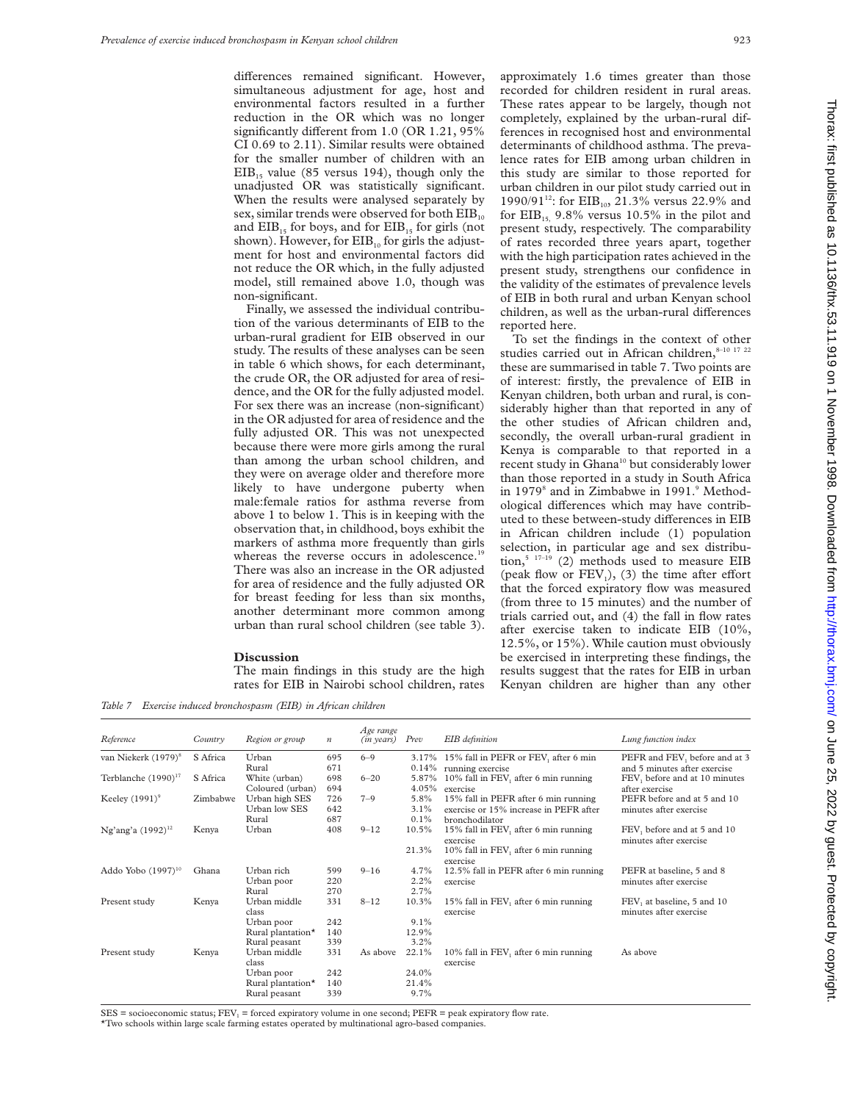differences remained significant. However, simultaneous adjustment for age, host and environmental factors resulted in a further reduction in the OR which was no longer significantly different from 1.0 (OR 1.21, 95% CI 0.69 to 2.11). Similar results were obtained for the smaller number of children with an  $EIB_{15}$  value (85 versus 194), though only the unadjusted OR was statistically significant. When the results were analysed separately by sex, similar trends were observed for both  $EIB_{10}$ and  $EIB_{15}$  for boys, and for  $EIB_{15}$  for girls (not shown). However, for  $EIB_{10}$  for girls the adjustment for host and environmental factors did not reduce the OR which, in the fully adjusted model, still remained above 1.0, though was non-significant.

Finally, we assessed the individual contribution of the various determinants of EIB to the urban-rural gradient for EIB observed in our study. The results of these analyses can be seen in table 6 which shows, for each determinant, the crude OR, the OR adjusted for area of residence, and the OR for the fully adjusted model. For sex there was an increase (non-significant) in the OR adjusted for area of residence and the fully adjusted OR. This was not unexpected because there were more girls among the rural than among the urban school children, and they were on average older and therefore more likely to have undergone puberty when male:female ratios for asthma reverse from above 1 to below 1. This is in keeping with the observation that, in childhood, boys exhibit the markers of asthma more frequently than girls whereas the reverse occurs in adolescence.<sup>19</sup> There was also an increase in the OR adjusted for area of residence and the fully adjusted OR for breast feeding for less than six months, another determinant more common among urban than rural school children (see table 3).

#### **Discussion**

The main findings in this study are the high rates for EIB in Nairobi school children, rates

*Table 7 Exercise induced bronchospasm (EIB) in African children*

| Reference                       | Country  | Region or group                                                           | $\boldsymbol{n}$         | Age range<br>(in years) | Prev                            | EIB definition                                                                                       | Lung function index                                              |
|---------------------------------|----------|---------------------------------------------------------------------------|--------------------------|-------------------------|---------------------------------|------------------------------------------------------------------------------------------------------|------------------------------------------------------------------|
| van Niekerk (1979) <sup>8</sup> | S Africa | Urban<br>Rural                                                            | 695<br>671               | $6 - 9$                 | 3.17%<br>$0.14\%$               | 15% fall in PEFR or FEV, after 6 min<br>running exercise                                             | PEFR and FEV, before and at 3<br>and 5 minutes after exercise    |
| Terblanche $(1990)^{17}$        | S Africa | White (urban)<br>Coloured (urban)                                         | 698<br>694               | $6 - 20$                | 5.87%                           | 10% fall in FEV, after 6 min running<br>4.05% exercise                                               | FEV, before and at 10 minutes<br>after exercise                  |
| Keeley $(1991)^9$               | Zimbabwe | Urban high SES<br>Urban low SES<br>Rural                                  | 726<br>642<br>687        | $7 - 9$                 | 5.8%<br>3.1%<br>0.1%            | 15% fall in PEFR after 6 min running<br>exercise or 15% increase in PEFR after<br>bronchodilator     | PEFR before and at 5 and 10<br>minutes after exercise            |
| Ng'ang'a $(1992)^{12}$          | Kenya    | Urban                                                                     | 408                      | $9 - 12$                | 10.5%<br>21.3%                  | 15% fall in FEV, after 6 min running<br>exercise<br>10% fall in FEV, after 6 min running<br>exercise | FEV, before and at 5 and 10<br>minutes after exercise            |
| Addo Yobo (1997) <sup>10</sup>  | Ghana    | Urban rich<br>Urban poor<br>Rural                                         | 599<br>220<br>270        | $9 - 16$                | 4.7%<br>2.2%<br>2.7%            | 12.5% fall in PEFR after 6 min running<br>exercise                                                   | PEFR at baseline, 5 and 8<br>minutes after exercise              |
| Present study                   | Kenva    | Urban middle<br>class<br>Urban poor<br>Rural plantation*<br>Rural peasant | 331<br>242<br>140<br>339 | $8 - 12$                | 10.3%<br>9.1%<br>12.9%<br>3.2%  | 15% fall in FEV, after 6 min running<br>exercise                                                     | FEV <sub>1</sub> at baseline, 5 and 10<br>minutes after exercise |
| Present study                   | Kenya    | Urban middle<br>class<br>Urban poor<br>Rural plantation*<br>Rural peasant | 331<br>242<br>140<br>339 | As above                | 22.1%<br>24.0%<br>21.4%<br>9.7% | 10% fall in $FEV$ , after 6 min running<br>exercise                                                  | As above                                                         |

SES = socioeconomic status;  $FEV_1$  = forced expiratory volume in one second;  $PEFR$  = peak expiratory flow rate.

\*Two schools within large scale farming estates operated by multinational agro-based companies.

approximately 1.6 times greater than those recorded for children resident in rural areas. These rates appear to be largely, though not completely, explained by the urban-rural differences in recognised host and environmental determinants of childhood asthma. The prevalence rates for EIB among urban children in this study are similar to those reported for urban children in our pilot study carried out in 1990/91<sup>12</sup>: for EIB<sub>10</sub>, 21.3% versus 22.9% and for  $EIB_{15}$ , 9.8% versus 10.5% in the pilot and present study, respectively. The comparability of rates recorded three years apart, together with the high participation rates achieved in the present study, strengthens our confidence in the validity of the estimates of prevalence levels of EIB in both rural and urban Kenyan school children, as well as the urban-rural differences reported here.

To set the findings in the context of other studies carried out in African children, 8-10 17 22 these are summarised in table 7. Two points are of interest: firstly, the prevalence of EIB in Kenyan children, both urban and rural, is considerably higher than that reported in any of the other studies of African children and, secondly, the overall urban-rural gradient in Kenya is comparable to that reported in a recent study in Ghana<sup>10</sup> but considerably lower than those reported in a study in South Africa in 1979<sup>8</sup> and in Zimbabwe in 1991.<sup>9</sup> Methodological differences which may have contributed to these between-study differences in EIB in African children include (1) population selection, in particular age and sex distribution,<sup>5 17-19</sup> (2) methods used to measure EIB (peak flow or  $FEV<sub>1</sub>$ ), (3) the time after effort that the forced expiratory flow was measured (from three to 15 minutes) and the number of trials carried out, and (4) the fall in flow rates after exercise taken to indicate EIB (10%, 12.5%, or 15%). While caution must obviously be exercised in interpreting these findings, the results suggest that the rates for EIB in urban Kenyan children are higher than any other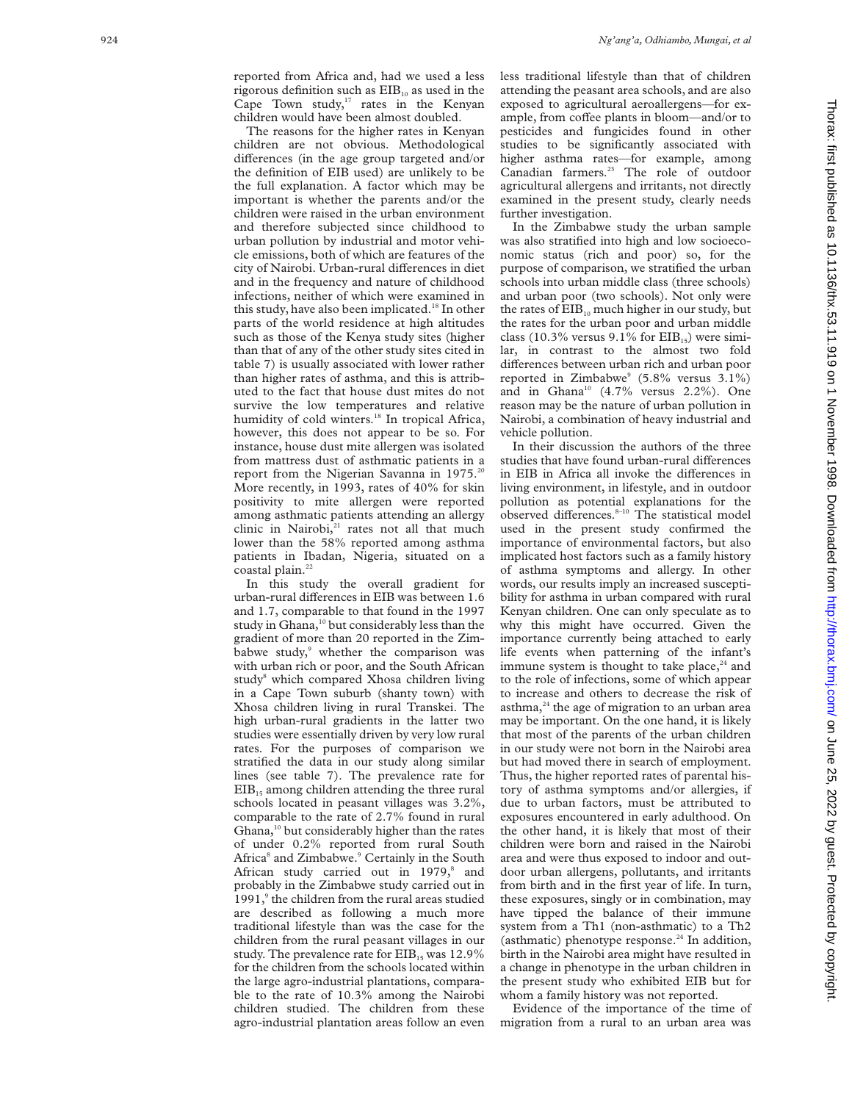reported from Africa and, had we used a less rigorous definition such as  $EIB<sub>10</sub>$  as used in the Cape Town study, $17$  rates in the Kenyan children would have been almost doubled.

The reasons for the higher rates in Kenyan children are not obvious. Methodological differences (in the age group targeted and/or the definition of EIB used) are unlikely to be the full explanation. A factor which may be important is whether the parents and/or the children were raised in the urban environment and therefore subjected since childhood to urban pollution by industrial and motor vehicle emissions, both of which are features of the city of Nairobi. Urban-rural differences in diet and in the frequency and nature of childhood infections, neither of which were examined in this study, have also been implicated.18 In other parts of the world residence at high altitudes such as those of the Kenya study sites (higher than that of any of the other study sites cited in table 7) is usually associated with lower rather than higher rates of asthma, and this is attributed to the fact that house dust mites do not survive the low temperatures and relative humidity of cold winters.<sup>18</sup> In tropical Africa, however, this does not appear to be so. For instance, house dust mite allergen was isolated from mattress dust of asthmatic patients in a report from the Nigerian Savanna in 1975.<sup>20</sup> More recently, in 1993, rates of 40% for skin positivity to mite allergen were reported among asthmatic patients attending an allergy clinic in Nairobi,<sup>21</sup> rates not all that much lower than the 58% reported among asthma patients in Ibadan, Nigeria, situated on a coastal plain.<sup>22</sup>

In this study the overall gradient for urban-rural di Verences in EIB was between 1.6 and 1.7, comparable to that found in the 1997 study in Ghana,<sup>10</sup> but considerably less than the gradient of more than 20 reported in the Zimbabwe study,<sup>9</sup> whether the comparison was with urban rich or poor, and the South African study <sup>8</sup> which compared Xhosa children living in a Cape Town suburb (shanty town) with Xhosa children living in rural Transkei. The high urban-rural gradients in the latter two studies were essentially driven by very low rural rates. For the purposes of comparison we stratified the data in our study along similar lines (see table 7). The prevalence rate for  $EIB<sub>15</sub>$  among children attending the three rural schools located in peasant villages was 3.2%, comparable to the rate of 2.7% found in rural Ghana,<sup>10</sup> but considerably higher than the rates of under 0.2% reported from rural South Africa <sup>8</sup> and Zimbabwe. <sup>9</sup> Certainly in the South African study carried out in 1979, <sup>8</sup> and probably in the Zimbabwe study carried out in 1991, <sup>9</sup> the children from the rural areas studied are described as following a much more traditional lifestyle than was the case for the children from the rural peasant villages in our study. The prevalence rate for  $EIB_{15}$  was 12.9% for the children from the schools located within the large agro-industrial plantations, comparable to the rate of 10.3% among the Nairobi children studied. The children from these agro-industrial plantation areas follow an even

less traditional lifestyle than that of children attending the peasant area schools, and are also exposed to agricultural aeroallergens—for example, from coffee plants in bloom—and/or to pesticides and fungicides found in other studies to be significantly associated with higher asthma rates—for example, among Canadian farmers.23 The role of outdoor agricultural allergens and irritants, not directly examined in the present study, clearly needs further investigation.

In the Zimbabwe study the urban sample was also stratified into high and low socioeconomic status (rich and poor) so, for the purpose of comparison, we stratified the urban schools into urban middle class (three schools) and urban poor (two schools). Not only were the rates of  $\mathrm{EIB}_{10}$  much higher in our study, but the rates for the urban poor and urban middle class (10.3% versus 9.1% for  $EIB_{15}$ ) were similar, in contrast to the almost two fold di Verences between urban rich and urban poor reported in Zimbabwe <sup>9</sup> (5.8% versus 3.1%) and in Ghana<sup>10</sup>  $(4.7\%$  versus 2.2%). One reason may be the nature of urban pollution in Nairobi, a combination of heavy industrial and vehicle pollution.

In their discussion the authors of the three studies that have found urban-rural differences in EIB in Africa all invoke the differences in living environment, in lifestyle, and in outdoor pollution as potential explanations for the observed differences.<sup>8-10</sup> The statistical model used in the present study confirmed the importance of environmental factors, but also implicated host factors such as a family history of asthma symptoms and allergy. In other words, our results imply an increased susceptibility for asthma in urban compared with rural Kenyan children. One can only speculate as to why this might have occurred. Given the importance currently being attached to early life events when patterning of the infant's immune system is thought to take place,<sup>24</sup> and to the role of infections, some of which appear to increase and others to decrease the risk of asthma, $^{24}$  the age of migration to an urban area may be important. On the one hand, it is likely that most of the parents of the urban children in our study were not born in the Nairobi area but had moved there in search of employment. Thus, the higher reported rates of parental history of asthma symptoms and/or allergies, if due to urban factors, must be attributed to exposures encountered in early adulthood. On the other hand, it is likely that most of their children were born and raised in the Nairobi area and were thus exposed to indoor and outdoor urban allergens, pollutants, and irritants from birth and in the first year of life. In turn, these exposures, singly or in combination, may have tipped the balance of their immune system from a Th1 (non-asthmatic) to a Th2 (asthmatic) phenotype response. $24$  In addition, birth in the Nairobi area might have resulted in a change in phenotype in the urban children in the present study who exhibited EIB but for whom a family history was not reported.

Evidence of the importance of the time of migration from a rural to an urban area was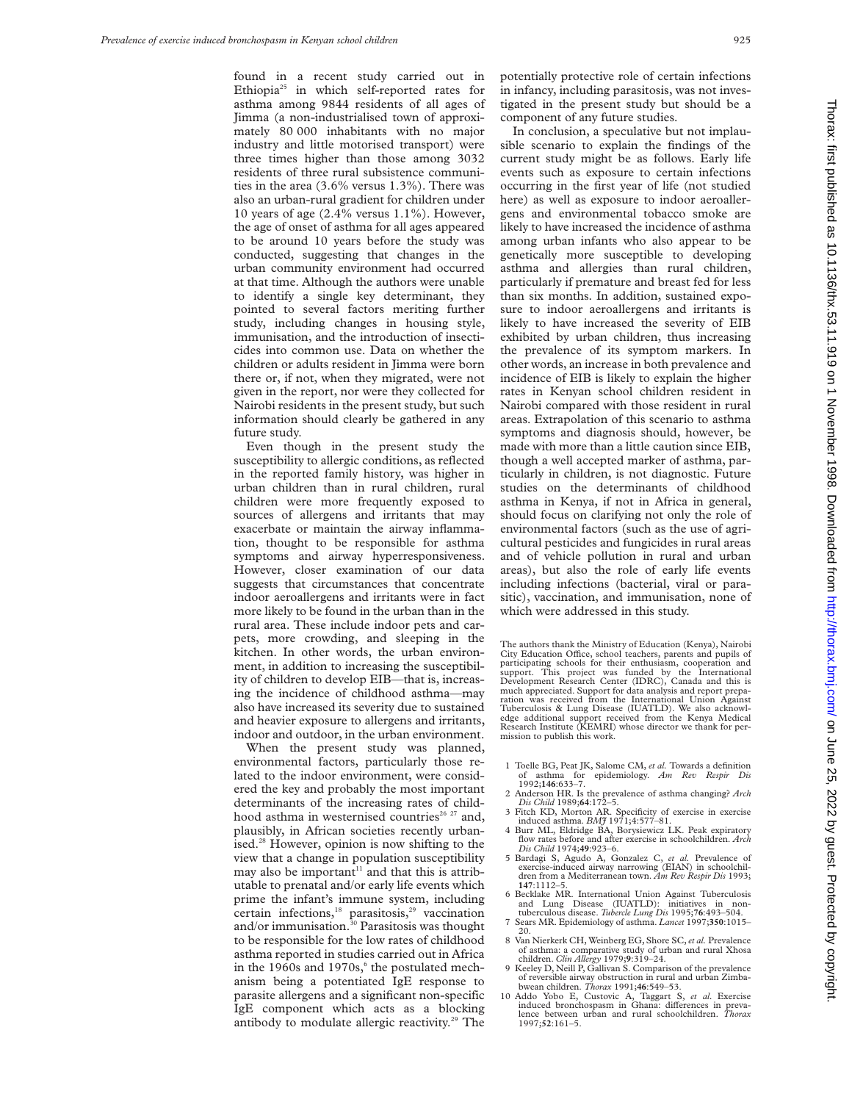found in a recent study carried out in Ethiopia<sup>25</sup> in which self-reported rates for asthma among 9844 residents of all ages of Jimma (a non-industrialised town of approximately 80 000 inhabitants with no major industry and little motorised transport) were three times higher than those among 3032 residents of three rural subsistence communities in the area (3.6% versus 1.3%). There was also an urban-rural gradient for children under 10 years of age (2.4% versus 1.1%). However, the age of onset of asthma for all ages appeared to be around 10 years before the study was conducted, suggesting that changes in the urban community environment had occurred at that time. Although the authors were unable to identify a single key determinant, they pointed to several factors meriting further study, including changes in housing style, immunisation, and the introduction of insecticides into common use. Data on whether the children or adults resident in Jimma were born there or, if not, when they migrated, were not given in the report, nor were they collected for Nairobi residents in the present study, but such information should clearly be gathered in any future study.

Even though in the present study the susceptibility to allergic conditions, as reflected in the reported family history, was higher in urban children than in rural children, rural children were more frequently exposed to sources of allergens and irritants that may exacerbate or maintain the airway inflammation, thought to be responsible for asthma symptoms and airway hyperresponsiveness. However, closer examination of our data suggests that circumstances that concentrate indoor aeroallergens and irritants were in fact more likely to be found in the urban than in the rural area. These include indoor pets and carpets, more crowding, and sleeping in the kitchen. In other words, the urban environment, in addition to increasing the susceptibility of children to develop EIB—that is, increasing the incidence of childhood asthma—may also have increased its severity due to sustained and heavier exposure to allergens and irritants, indoor and outdoor, in the urban environment.

When the present study was planned, environmental factors, particularly those related to the indoor environment, were considered the key and probably the most important determinants of the increasing rates of childhood asthma in westernised countries<sup>26 27</sup> and, plausibly, in African societies recently urbanised.28 However, opinion is now shifting to the view that a change in population susceptibility may also be important $11$  and that this is attributable to prenatal and/or early life events which prime the infant's immune system, including certain infections,<sup>18</sup> parasitosis,<sup>29</sup> vaccination and/or immunisation.30 Parasitosis was thought to be responsible for the low rates of childhood asthma reported in studies carried out in Africa in the 1960s and 1970s, $6$  the postulated mechanism being a potentiated IgE response to parasite allergens and a significant non-specific IgE component which acts as a blocking antibody to modulate allergic reactivity. $29$  The

potentially protective role of certain infections in infancy, including parasitosis, was not investigated in the present study but should be a component of any future studies.

In conclusion, a speculative but not implausible scenario to explain the findings of the current study might be as follows. Early life events such as exposure to certain infections occurring in the first year of life (not studied here) as well as exposure to indoor aeroallergens and environmental tobacco smoke are likely to have increased the incidence of asthma among urban infants who also appear to be genetically more susceptible to developing asthma and allergies than rural children, particularly if premature and breast fed for less than six months. In addition, sustained exposure to indoor aeroallergens and irritants is likely to have increased the severity of EIB exhibited by urban children, thus increasing the prevalence of its symptom markers. In other words, an increase in both prevalence and incidence of EIB is likely to explain the higher rates in Kenyan school children resident in Nairobi compared with those resident in rural areas. Extrapolation of this scenario to asthma symptoms and diagnosis should, however, be made with more than a little caution since EIB, though a well accepted marker of asthma, particularly in children, is not diagnostic. Future studies on the determinants of childhood asthma in Kenya, if not in Africa in general, should focus on clarifying not only the role of environmental factors (such as the use of agricultural pesticides and fungicides in rural areas and of vehicle pollution in rural and urban areas), but also the role of early life events including infections (bacterial, viral or parasitic), vaccination, and immunisation, none of which were addressed in this study.

The authors thank the Ministry of Education (Kenya), Nairobi City Education Office, school teachers, parents and pupils of<br>participating schools for their enthusiasm, cooperation and<br>support. This project was funded by the International<br>Development Research Center (IDRC), Canada and much appreciated. Support for data analysis and report prepa-ration was received from the International Union Against Tuberculosis & Lung Disease (IUATLD). We also acknowledge additional support received from the Kenya Medical Research Institute (KEMRI) whose director we thank for per-mission to publish this work.

- 1 Toelle BG, Peat JK, Salome CM, *et al.* Towards a definition of asthma for epidemiology. *Am Rev Respir Dis* 1992;**146**:633–7.
- 2 Anderson HR. Is the prevalence of asthma changing? *Arch Dis Child* 1989;**64**:172–5.
- 3 Fitch KD, Morton AR. Specificity of exercise in exercise induced asthma. *BMJ* 1971;4:577–81.
- 4 Burr ML, Eldridge BA, Borysiewicz LK. Peak expiratory flow rates before and after exercise in schoolchildren. *Arch Dis Child* 1974;**49**:923–6.
- 5 Bardagi S, Agudo A, Gonzalez C, *et al.* Prevalence of exercise-induced airway narrowing (EIAN) in schoolchildren from a Mediterranean town. *Am Rev Respir Dis* 1993; **147**:1112–5.
- 6 Becklake MR. International Union Against Tuberculosis and Lung Disease (IUATLD): initiatives in non-tuberculous disease. *Tubercle Lung Dis* 1995;**76**:493–504.
- 7 Sears MR. Epidemiology of asthma. *Lancet* 1997;**350**:1015– 20. 8 Van Nierkerk CH, Weinberg EG, Shore SC,*et al.* Prevalence
- of asthma: a comparative study of urban and rural Xhosa children. *Clin Allergy* 1979;**9**:319–24.
- 9 Keeley D, Neill P, Gallivan S. Comparison of the prevalence of reversible airway obstruction in rural and urban Zimba-bwean children. *Thorax* 1991;**46**:549–53. 10 Addo Yobo E, Custovic A, Taggart S, *et al.* Exercise
- induced bronchospasm in Ghana: diVerences in preva-lence between urban and rural schoolchildren. *Thorax* 1997;**52**:161–5.